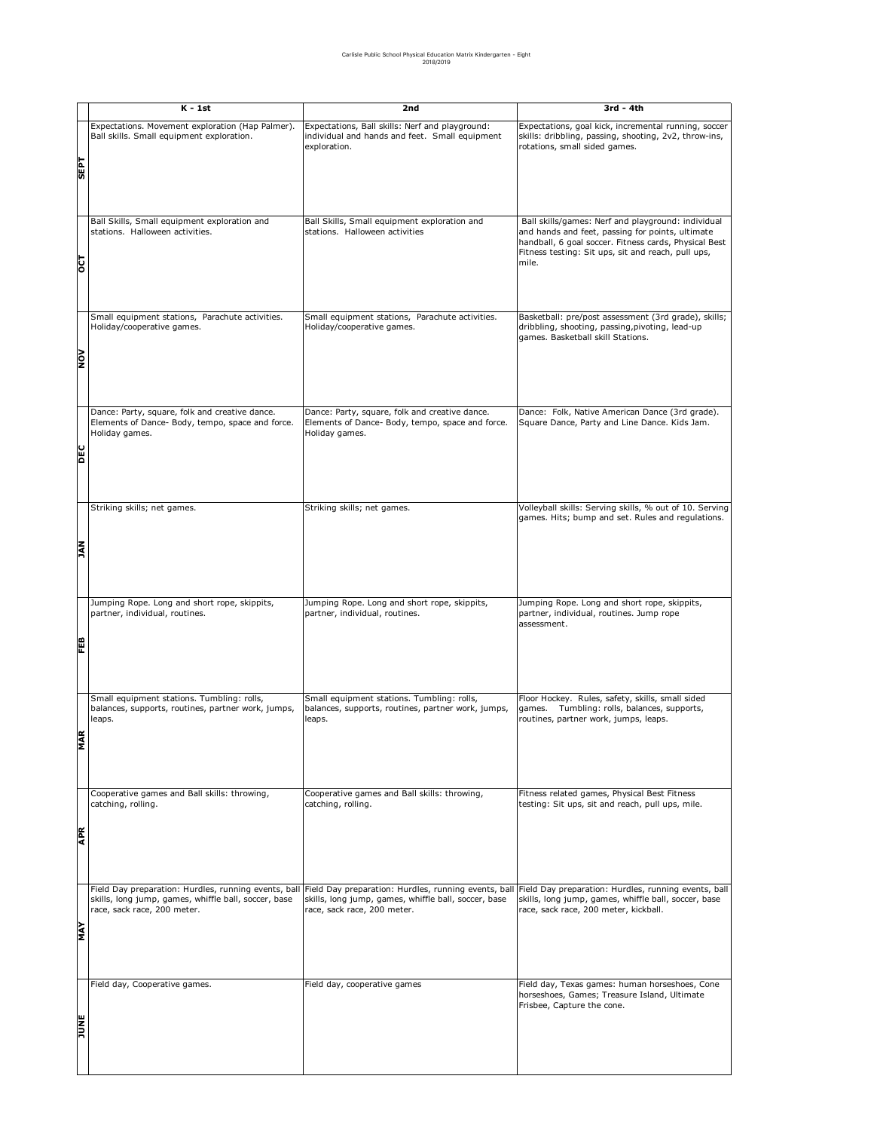|             | K - 1st                                                                                                                                     | 2nd                                                                                                                                         | 3rd - 4th                                                                                                                                                                                                                      |
|-------------|---------------------------------------------------------------------------------------------------------------------------------------------|---------------------------------------------------------------------------------------------------------------------------------------------|--------------------------------------------------------------------------------------------------------------------------------------------------------------------------------------------------------------------------------|
| <b>Ld3S</b> | Expectations. Movement exploration (Hap Palmer).<br>Ball skills. Small equipment exploration.                                               | Expectations, Ball skills: Nerf and playground:<br>individual and hands and feet. Small equipment<br>exploration.                           | Expectations, goal kick, incremental running, soccer<br>skills: dribbling, passing, shooting, 2v2, throw-ins,<br>rotations, small sided games.                                                                                 |
| ᅙ           | Ball Skills, Small equipment exploration and<br>stations. Halloween activities.                                                             | Ball Skills, Small equipment exploration and<br>stations. Halloween activities                                                              | Ball skills/games: Nerf and playground: individual<br>and hands and feet, passing for points, ultimate<br>handball, 6 goal soccer. Fitness cards, Physical Best<br>Fitness testing: Sit ups, sit and reach, pull ups,<br>mile. |
| NOV         | Small equipment stations, Parachute activities.<br>Holiday/cooperative games.                                                               | Small equipment stations, Parachute activities.<br>Holiday/cooperative games.                                                               | Basketball: pre/post assessment (3rd grade), skills;<br>dribbling, shooting, passing, pivoting, lead-up<br>games. Basketball skill Stations.                                                                                   |
| DEC         | Dance: Party, square, folk and creative dance.<br>Elements of Dance- Body, tempo, space and force.<br>Holiday games.                        | Dance: Party, square, folk and creative dance.<br>Elements of Dance- Body, tempo, space and force.<br>Holiday games.                        | Dance: Folk, Native American Dance (3rd grade).<br>Square Dance, Party and Line Dance. Kids Jam.                                                                                                                               |
| <b>NAL</b>  | Striking skills; net games.                                                                                                                 | Striking skills; net games.                                                                                                                 | Volleyball skills: Serving skills, % out of 10. Serving<br>games. Hits; bump and set. Rules and regulations.                                                                                                                   |
| 떏           | Jumping Rope. Long and short rope, skippits,<br>partner, individual, routines.                                                              | Jumping Rope. Long and short rope, skippits,<br>partner, individual, routines.                                                              | Jumping Rope. Long and short rope, skippits,<br>partner, individual, routines. Jump rope<br>assessment.                                                                                                                        |
| Ę<br>Σ      | Small equipment stations. Tumbling: rolls,<br>balances, supports, routines, partner work, jumps,<br>leaps.                                  | Small equipment stations. Tumbling: rolls,<br>balances, supports, routines, partner work, jumps,<br>leaps.                                  | Floor Hockey. Rules, safety, skills, small sided<br>games. Tumbling: rolls, balances, supports,<br>routines, partner work, jumps, leaps.                                                                                       |
| Æ           | Cooperative games and Ball skills: throwing,<br>catching, rolling.                                                                          | Cooperative games and Ball skills: throwing,<br>catching, rolling.                                                                          | Fitness related games, Physical Best Fitness<br>testing: Sit ups, sit and reach, pull ups, mile.                                                                                                                               |
| <b>AVA</b>  | Field Day preparation: Hurdles, running events, ball<br>skills, long jump, games, whiffle ball, soccer, base<br>race, sack race, 200 meter. | Field Day preparation: Hurdles, running events, ball<br>skills, long jump, games, whiffle ball, soccer, base<br>race, sack race, 200 meter. | Field Day preparation: Hurdles, running events, ball<br>skills, long jump, games, whiffle ball, soccer, base<br>race, sack race, 200 meter, kickball.                                                                          |
| <b>SNIC</b> | Field day, Cooperative games.                                                                                                               | Field day, cooperative games                                                                                                                | Field day, Texas games: human horseshoes, Cone<br>horseshoes, Games; Treasure Island, Ultimate<br>Frisbee, Capture the cone.                                                                                                   |